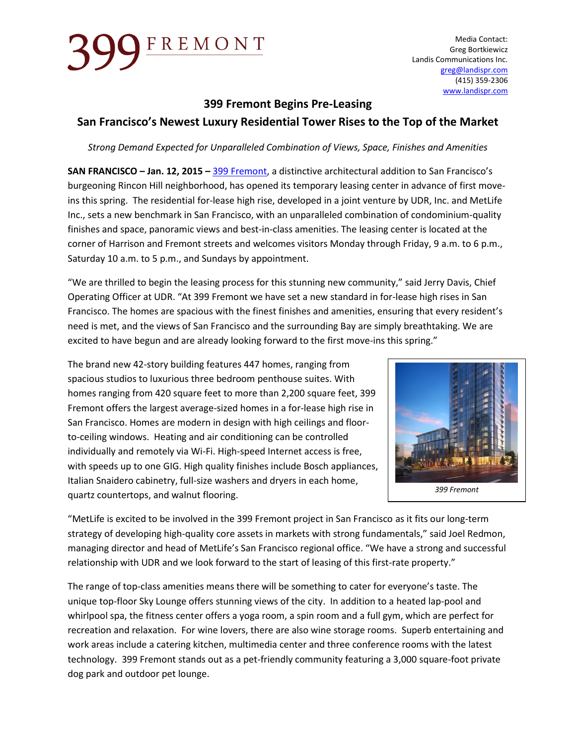## FREMONT

Media Contact: Greg Bortkiewicz Landis Communications Inc. [greg@landispr.com](mailto:greg@landispr.com) (415) 359-2306 [www.landispr.com](http://www.landispr.com/)

### **399 Fremont Begins Pre-Leasing**

### **San Francisco's Newest Luxury Residential Tower Rises to the Top of the Market**

*Strong Demand Expected for Unparalleled Combination of Views, Space, Finishes and Amenities* 

**SAN FRANCISCO – Jan. 12, 2015 –** [399 Fremont,](http://www.lease399.com/) a distinctive architectural addition to San Francisco's burgeoning Rincon Hill neighborhood, has opened its temporary leasing center in advance of first moveins this spring. The residential for-lease high rise, developed in a joint venture by UDR, Inc. and MetLife Inc., sets a new benchmark in San Francisco, with an unparalleled combination of condominium-quality finishes and space, panoramic views and best-in-class amenities. The leasing center is located at the corner of Harrison and Fremont streets and welcomes visitors Monday through Friday, 9 a.m. to 6 p.m., Saturday 10 a.m. to 5 p.m., and Sundays by appointment.

"We are thrilled to begin the leasing process for this stunning new community," said Jerry Davis, Chief Operating Officer at UDR. "At 399 Fremont we have set a new standard in for-lease high rises in San Francisco. The homes are spacious with the finest finishes and amenities, ensuring that every resident's need is met, and the views of San Francisco and the surrounding Bay are simply breathtaking. We are excited to have begun and are already looking forward to the first move-ins this spring."

The brand new 42-story building features 447 homes, ranging from spacious studios to luxurious three bedroom penthouse suites. With homes ranging from 420 square feet to more than 2,200 square feet, 399 Fremont offers the largest average-sized homes in a for-lease high rise in San Francisco. Homes are modern in design with high ceilings and floorto-ceiling windows. Heating and air conditioning can be controlled individually and remotely via Wi-Fi. High-speed Internet access is free, with speeds up to one GIG. High quality finishes include Bosch appliances, Italian Snaidero cabinetry, full-size washers and dryers in each home, quartz countertops, and walnut flooring.



"MetLife is excited to be involved in the 399 Fremont project in San Francisco as it fits our long-term strategy of developing high-quality core assets in markets with strong fundamentals," said Joel Redmon, managing director and head of MetLife's San Francisco regional office. "We have a strong and successful relationship with UDR and we look forward to the start of leasing of this first-rate property."

The range of top-class amenities means there will be something to cater for everyone's taste. The unique top-floor Sky Lounge offers stunning views of the city. In addition to a heated lap-pool and whirlpool spa, the fitness center offers a yoga room, a spin room and a full gym, which are perfect for recreation and relaxation. For wine lovers, there are also wine storage rooms. Superb entertaining and work areas include a catering kitchen, multimedia center and three conference rooms with the latest technology. 399 Fremont stands out as a pet-friendly community featuring a 3,000 square-foot private dog park and outdoor pet lounge.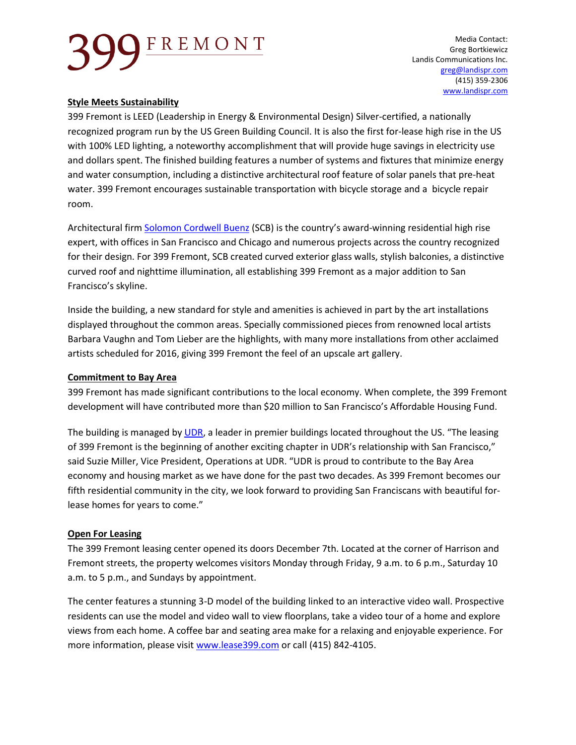# FREMONT

Media Contact: Greg Bortkiewicz Landis Communications Inc. [greg@landispr.com](mailto:greg@landispr.com) (415) 359-2306 [www.landispr.com](http://www.landispr.com/)

#### **Style Meets Sustainability**

399 Fremont is LEED (Leadership in Energy & Environmental Design) Silver-certified, a nationally recognized program run by the US Green Building Council. It is also the first for-lease high rise in the US with 100% LED lighting, a noteworthy accomplishment that will provide huge savings in electricity use and dollars spent. The finished building features a number of systems and fixtures that minimize energy and water consumption, including a distinctive architectural roof feature of solar panels that pre-heat water. 399 Fremont encourages sustainable transportation with bicycle storage and a bicycle repair room.

Architectural firm [Solomon Cordwell Buenz](http://www.scb.com/) (SCB) is the country's award-winning residential high rise expert, with offices in San Francisco and Chicago and numerous projects across the country recognized for their design. For 399 Fremont, SCB created curved exterior glass walls, stylish balconies, a distinctive curved roof and nighttime illumination, all establishing 399 Fremont as a major addition to San Francisco's skyline.

Inside the building, a new standard for style and amenities is achieved in part by the art installations displayed throughout the common areas. Specially commissioned pieces from renowned local artists Barbara Vaughn and Tom Lieber are the highlights, with many more installations from other acclaimed artists scheduled for 2016, giving 399 Fremont the feel of an upscale art gallery.

#### **Commitment to Bay Area**

399 Fremont has made significant contributions to the local economy. When complete, the 399 Fremont development will have contributed more than \$20 million to San Francisco's Affordable Housing Fund.

The building is managed by [UDR,](http://www.udr.com/) a leader in premier buildings located throughout the US. "The leasing of 399 Fremont is the beginning of another exciting chapter in UDR's relationship with San Francisco," said Suzie Miller, Vice President, Operations at UDR. "UDR is proud to contribute to the Bay Area economy and housing market as we have done for the past two decades. As 399 Fremont becomes our fifth residential community in the city, we look forward to providing San Franciscans with beautiful forlease homes for years to come."

#### **Open For Leasing**

The 399 Fremont leasing center opened its doors December 7th. Located at the corner of Harrison and Fremont streets, the property welcomes visitors Monday through Friday, 9 a.m. to 6 p.m., Saturday 10 a.m. to 5 p.m., and Sundays by appointment.

The center features a stunning 3-D model of the building linked to an interactive video wall. Prospective residents can use the model and video wall to view floorplans, take a video tour of a home and explore views from each home. A coffee bar and seating area make for a relaxing and enjoyable experience. For more information, please visi[t www.lease399.com](http://www.lease399.com/) or call (415) 842-4105.